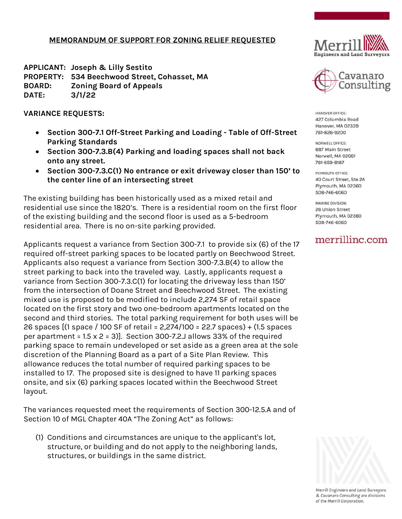## **MEMORANDUM OF SUPPORT FOR ZONING RELIEF REQUESTED**

**APPLICANT: Joseph & Lilly Sestito PROPERTY: 534 Beechwood Street, Cohasset, MA BOARD: Zoning Board of Appeals DATE: 3/1/22**

**VARIANCE REQUESTS:**

- **Section 300-7.1 Off-Street Parking and Loading - Table of Off-Street Parking Standards**
- **Section 300-7.3.B(4) Parking and loading spaces shall not back onto any street.**
- **Section 300-7.3.C(1) No entrance or exit driveway closer than 150' to the center line of an intersecting street**

The existing building has been historically used as a mixed retail and residential use since the 1820's. There is a residential room on the first floor of the existing building and the second floor is used as a 5-bedroom residential area. There is no on-site parking provided.

Applicants request a variance from Section 300-7.1 to provide six (6) of the 17 required off-street parking spaces to be located partly on Beechwood Street. Applicants also request a variance from Section 300-7.3.B(4) to allow the street parking to back into the traveled way. Lastly, applicants request a variance from Section 300-7.3.C(1) for locating the driveway less than 150' from the intersection of Doane Street and Beechwood Street. The existing mixed use is proposed to be modified to include 2,274 SF of retail space located on the first story and two one-bedroom apartments located on the second and third stories. The total parking requirement for both uses will be 26 spaces [(1 space / 100 SF of retail = 2,274/100 = 22.7 spaces) + (1.5 spaces per apartment =  $1.5 \times 2 = 3$ ]. Section 300-7.2.J allows 33% of the required parking space to remain undeveloped or set aside as a green area at the sole discretion of the Planning Board as a part of a Site Plan Review. This allowance reduces the total number of required parking spaces to be installed to 17. The proposed site is designed to have 11 parking spaces onsite, and six (6) parking spaces located within the Beechwood Street layout.

The variances requested meet the requirements of Section 300-12.5.A and of Section 10 of MGL Chapter 40A "The Zoning Act" as follows:

(1) Conditions and circumstances are unique to the applicant's lot, structure, or building and do not apply to the neighboring lands, structures, or buildings in the same district.





HANOVER OFFICE: 427 Columbia Road Hanover, MA 02339 781-826-9200

NORWELL OFFICE: 687 Main Street Norwell, MA 02061 781-659-8187

PLYMOUTH OFFICE: 40 Court Street, Ste 2A Plymouth, MA 02360 508-746-6060

MARINE DIVISION: 26 Union Street Plymouth, MA 02360 508-746-6060

## merrilling.com



Merrill Engineers and Land Surveyors & Cavanaro Consulting are divisions of the Merrill Corporation.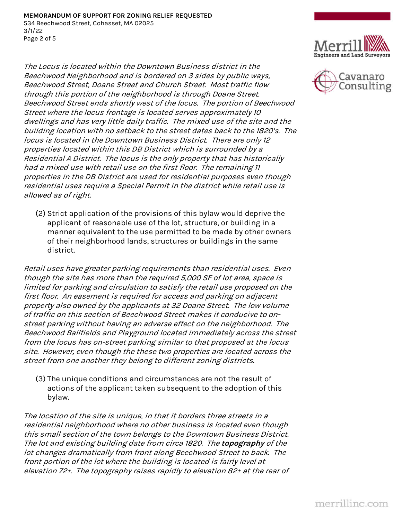The Locus is located within the Downtown Business district in the Beechwood Neighborhood and is bordered on 3 sides by public ways, Beechwood Street, Doane Street and Church Street. Most traffic flow through this portion of the neighborhood is through Doane Street. Beechwood Street ends shortly west of the locus. The portion of Beechwood Street where the locus frontage is located serves approximately 10 dwellings and has very little daily traffic. The mixed use of the site and the building location with no setback to the street dates back to the 1820's. The locus is located in the Downtown Business District. There are only 12 properties located within this DB District which is surrounded by a Residential A District. The locus is the only property that has historically had a mixed use with retail use on the first floor. The remaining 11 properties in the DB District are used for residential purposes even though residential uses require a Special Permit in the district while retail use is allowed as of right.

(2) Strict application of the provisions of this bylaw would deprive the applicant of reasonable use of the lot, structure, or building in a manner equivalent to the use permitted to be made by other owners of their neighborhood lands, structures or buildings in the same district.

Retail uses have greater parking requirements than residential uses. Even though the site has more than the required 5,000 SF of lot area, space is limited for parking and circulation to satisfy the retail use proposed on the first floor. An easement is required for access and parking on adjacent property also owned by the applicants at 32 Doane Street. The low volume of traffic on this section of Beechwood Street makes it conducive to onstreet parking without having an adverse effect on the neighborhood. The Beechwood Ballfields and Playground located immediately across the street from the locus has on-street parking similar to that proposed at the locus site. However, even though the these two properties are located across the street from one another they belong to different zoning districts.

(3) The unique conditions and circumstances are not the result of actions of the applicant taken subsequent to the adoption of this bylaw.

The location of the site is unique, in that it borders three streets in a residential neighborhood where no other business is located even though this small section of the town belongs to the Downtown Business District. The lot and existing building date from circa 1820. The **topography** of the lot changes dramatically from front along Beechwood Street to back. The front portion of the lot where the building is located is fairly level at elevation 72±. The topography raises rapidly to elevation 82± at the rear of



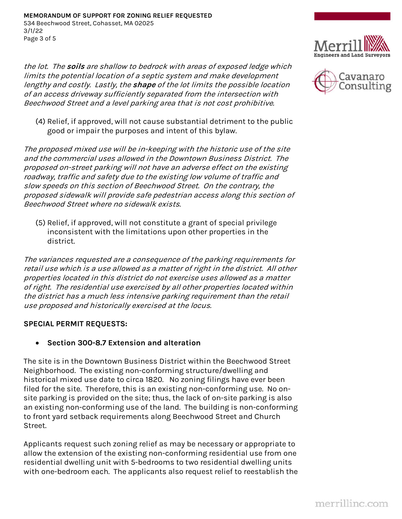the lot. The **soils** are shallow to bedrock with areas of exposed ledge which limits the potential location of a septic system and make development lengthy and costly. Lastly, the **shape** of the lot limits the possible location of an access driveway sufficiently separated from the intersection with Beechwood Street and a level parking area that is not cost prohibitive.

(4) Relief, if approved, will not cause substantial detriment to the public good or impair the purposes and intent of this bylaw.

The proposed mixed use will be in-keeping with the historic use of the site and the commercial uses allowed in the Downtown Business District. The proposed on-street parking will not have an adverse effect on the existing roadway, traffic and safety due to the existing low volume of traffic and slow speeds on this section of Beechwood Street. On the contrary, the proposed sidewalk will provide safe pedestrian access along this section of Beechwood Street where no sidewalk exists.

(5) Relief, if approved, will not constitute a grant of special privilege inconsistent with the limitations upon other properties in the district.

The variances requested are a consequence of the parking requirements for retail use which is a use allowed as a matter of right in the district. All other properties located in this district do not exercise uses allowed as a matter of right. The residential use exercised by all other properties located within the district has a much less intensive parking requirement than the retail use proposed and historically exercised at the locus.

## **SPECIAL PERMIT REQUESTS:**

**Section 300-8.7 Extension and alteration**

The site is in the Downtown Business District within the Beechwood Street Neighborhood. The existing non-conforming structure/dwelling and historical mixed use date to circa 1820. No zoning filings have ever been filed for the site. Therefore, this is an existing non-conforming use. No onsite parking is provided on the site; thus, the lack of on-site parking is also an existing non-conforming use of the land. The building is non-conforming to front yard setback requirements along Beechwood Street and Church Street.

Applicants request such zoning relief as may be necessary or appropriate to allow the extension of the existing non-conforming residential use from one residential dwelling unit with 5-bedrooms to two residential dwelling units with one-bedroom each. The applicants also request relief to reestablish the



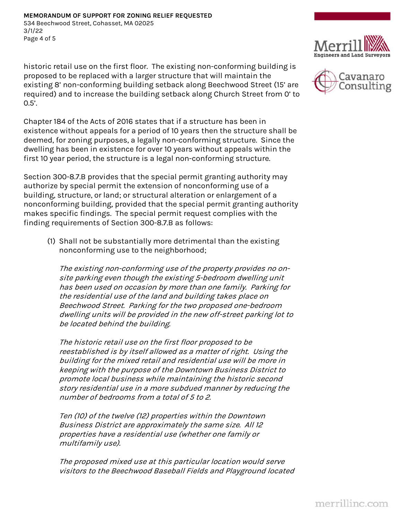historic retail use on the first floor. The existing non-conforming building is proposed to be replaced with a larger structure that will maintain the existing 8' non-conforming building setback along Beechwood Street (15' are required) and to increase the building setback along Church Street from 0' to 0.5'.

Chapter 184 of the Acts of 2016 states that if a structure has been in existence without appeals for a period of 10 years then the structure shall be deemed, for zoning purposes, a legally non-conforming structure. Since the dwelling has been in existence for over 10 years without appeals within the first 10 year period, the structure is a legal non-conforming structure.

Section 300-8.7.B provides that the special permit granting authority may authorize by special permit the extension of nonconforming use of a building, structure, or land; or structural alteration or enlargement of a nonconforming building, provided that the special permit granting authority makes specific findings. The special permit request complies with the finding requirements of Section 300-8.7.B as follows:

(1) Shall not be substantially more detrimental than the existing nonconforming use to the neighborhood;

The existing non-conforming use of the property provides no onsite parking even though the existing 5-bedroom dwelling unit has been used on occasion by more than one family. Parking for the residential use of the land and building takes place on Beechwood Street. Parking for the two proposed one-bedroom dwelling units will be provided in the new off-street parking lot to be located behind the building.

The historic retail use on the first floor proposed to be reestablished is by itself allowed as a matter of right. Using the building for the mixed retail and residential use will be more in keeping with the purpose of the Downtown Business District to promote local business while maintaining the historic second story residential use in a more subdued manner by reducing the number of bedrooms from a total of 5 to 2.

Ten (10) of the twelve (12) properties within the Downtown Business District are approximately the same size. All 12 properties have a residential use (whether one family or multifamily use).

The proposed mixed use at this particular location would serve visitors to the Beechwood Baseball Fields and Playground located